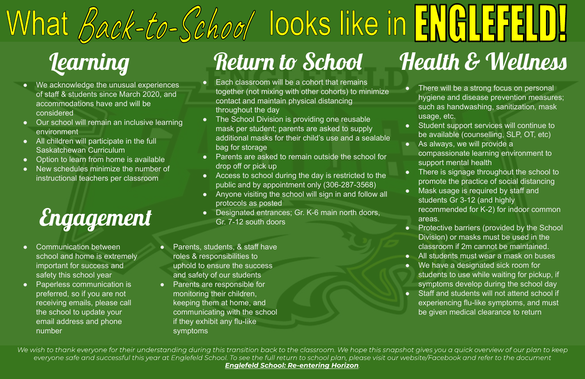### Engagement

- We acknowledge the unusual experiences of staff & students since March 2020, and accommodations have and will be considered
- Our school will remain an inclusive learning environment
- All children will participate in the full Saskatchewan Curriculum
- Option to learn from home is available
- New schedules minimize the number of instructional teachers per classroom

● Student support services will continue to be available (counselling, SLP, OT, etc) • As always, we will provide a

• There is signage throughout the school to promote the practice of social distancing ● Mask usage is required by staff and students Gr 3-12 (and highly recommended for K-2) for indoor common

● There will be a strong focus on personal hygiene and disease prevention measures; such as handwashing, sanitization, mask usage, etc.

compassionate learning environment to support mental health

- 
- 
- 
- areas.
- 
- 
- 
- 
- 
- 
- 
- Each classroom will be a cohort that remains together (not mixing with other cohorts) to minimize contact and maintain physical distancing throughout the day
- The School Division is providing one reusable mask per student; parents are asked to supply additional masks for their child's use and a sealable bag for storage
- Parents are asked to remain outside the school for drop off or pick up
- Access to school during the day is restricted to the public and by appointment only (306-287-3568)
- Anyone visiting the school will sign in and follow all protocols as posted
- Designated entrances; Gr. K-6 main north doors, Gr. 7-12 south doors

● Protective barriers (provided by the School Division) or masks must be used in the classroom if 2m cannot be maintained. ● All students must wear a mask on buses ● We have a designated sick room for students to use while waiting for pickup, if symptoms develop during the school day ● Staff and students will not attend school if experiencing flu-like symptoms, and must be given medical clearance to return

- Communication between school and home is extremely important for success and safety this school year
- Paperless communication is preferred, so if you are not receiving emails, please call the school to update your email address and phone number
- Parents, students, & staff have roles & responsibilities to uphold to ensure the success and safety of our students
- Parents are responsible for monitoring their children, keeping them at home, and communicating with the school if they exhibit any flu-like symptoms

We wish to thank everyone for their understanding during this transition back to the classroom. We hope this snapshot gives you a quick overview of our plan to keep everyone safe and successful this year at Englefeld School. To see the full return to school plan, please visit our website/Facebook and refer to the document *Englefeld School: Re-entering Horizon*

## What *Back-to-Schoo*/ looks like in ENGLER Learning Return to School Health & Wellness